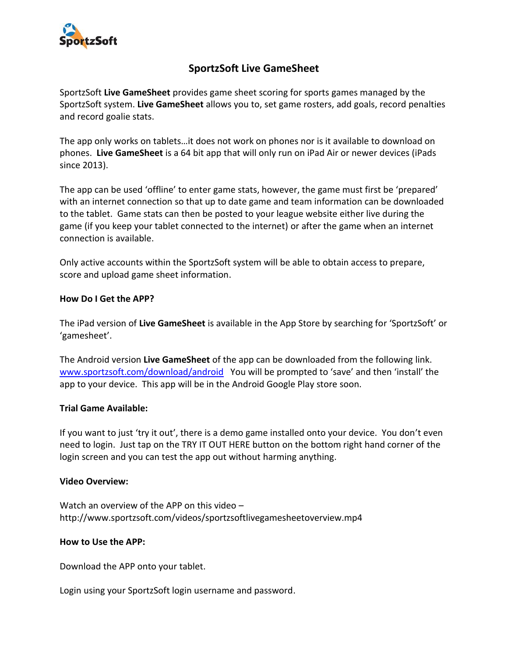

# **SportzSoft Live GameSheet**

SportzSoft **Live GameSheet** provides game sheet scoring for sports games managed by the SportzSoft system. **Live GameSheet** allows you to, set game rosters, add goals, record penalties and record goalie stats.

The app only works on tablets…it does not work on phones nor is it available to download on phones. **Live GameSheet** is a 64 bit app that will only run on iPad Air or newer devices (iPads since 2013).

The app can be used 'offline' to enter game stats, however, the game must first be 'prepared' with an internet connection so that up to date game and team information can be downloaded to the tablet. Game stats can then be posted to your league website either live during the game (if you keep your tablet connected to the internet) or after the game when an internet connection is available.

Only active accounts within the SportzSoft system will be able to obtain access to prepare, score and upload game sheet information.

## **How Do I Get the APP?**

The iPad version of **Live GameSheet** is available in the App Store by searching for 'SportzSoft' or 'gamesheet'.

The Android version **Live GameSheet** of the app can be downloaded from the following link. [www.sportzsoft.com/download/android](http://www.sportzsoft.com/download/android) You will be prompted to 'save' and then 'install' the app to your device. This app will be in the Android Google Play store soon.

### **Trial Game Available:**

If you want to just 'try it out', there is a demo game installed onto your device. You don't even need to login. Just tap on the TRY IT OUT HERE button on the bottom right hand corner of the login screen and you can test the app out without harming anything.

### **Video Overview:**

Watch an overview of the APP on this video – http://www.sportzsoft.com/videos/sportzsoftlivegamesheetoverview.mp4

### **How to Use the APP:**

Download the APP onto your tablet.

Login using your SportzSoft login username and password.